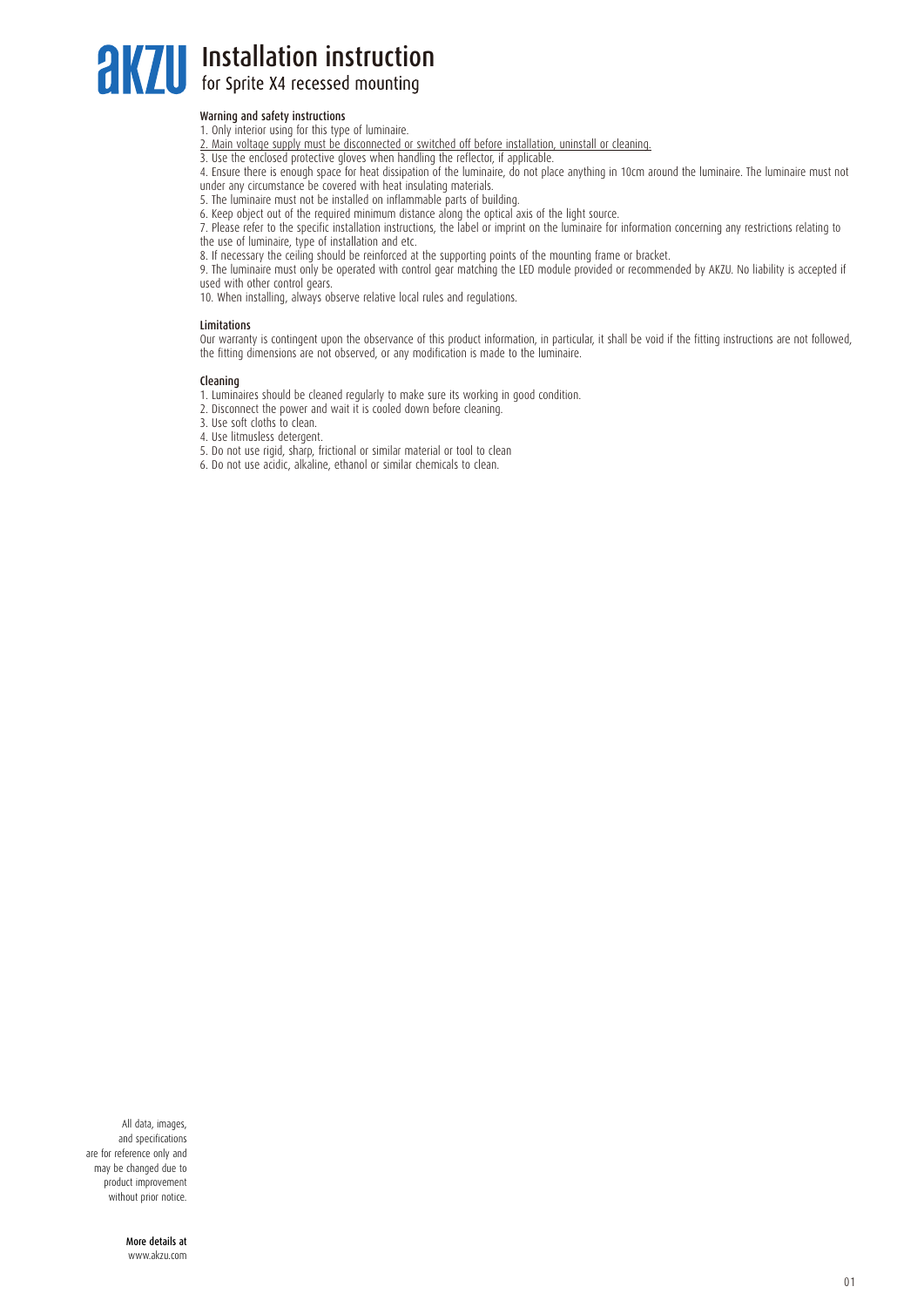## **AKZU** Installation instruction

### Warning and safety instructions

- 1. Only interior using for this type of luminaire.
- 2. Main voltage supply must be disconnected or switched off before installation, uninstall or cleaning.
- 3. Use the enclosed protective gloves when handling the reflector, if applicable.

4. Ensure there is enough space for heat dissipation of the luminaire, do not place anything in 10cm around the luminaire. The luminaire must not under any circumstance be covered with heat insulating materials.

5. The luminaire must not be installed on inflammable parts of building.

6. Keep object out of the required minimum distance along the optical axis of the light source.

7. Please refer to the specific installation instructions, the label or imprint on the luminaire for information concerning any restrictions relating to the use of luminaire, type of installation and etc.

8. If necessary the ceiling should be reinforced at the supporting points of the mounting frame or bracket.

9. The luminaire must only be operated with control gear matching the LED module provided or recommended by AKZU. No liability is accepted if used with other control gears.

10. When installing, always observe relative local rules and regulations.

#### **Limitations**

Our warranty is contingent upon the observance of this product information, in particular, it shall be void if the fitting instructions are not followed, the fitting dimensions are not observed, or any modification is made to the luminaire.

#### Cleaning

- 1. Luminaires should be cleaned regularly to make sure its working in good condition.
- 2. Disconnect the power and wait it is cooled down before cleaning.
- 3. Use soft cloths to clean.
- 4. Use litmusless detergent.
- 5. Do not use rigid, sharp, frictional or similar material or tool to clean
- 6. Do not use acidic, alkaline, ethanol or similar chemicals to clean.

All data, images, and specifications are for reference only and may be changed due to product improvement without prior notice.

> More details at www.akzu.com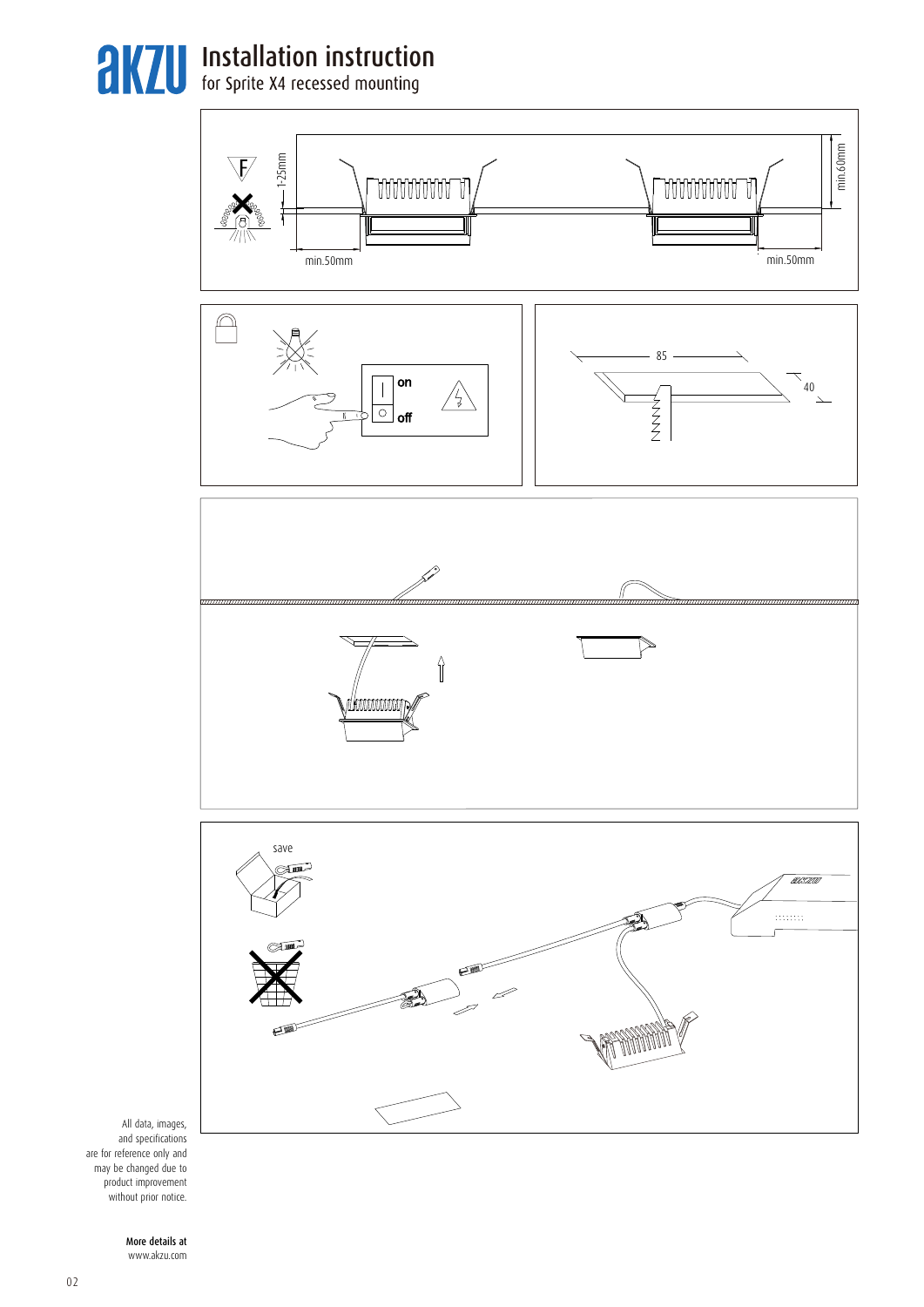**AKZU** Installation instruction









All data, images, and specifications are for reference only and may be changed due to product improvement without prior notice.

> More details at www.akzu.com